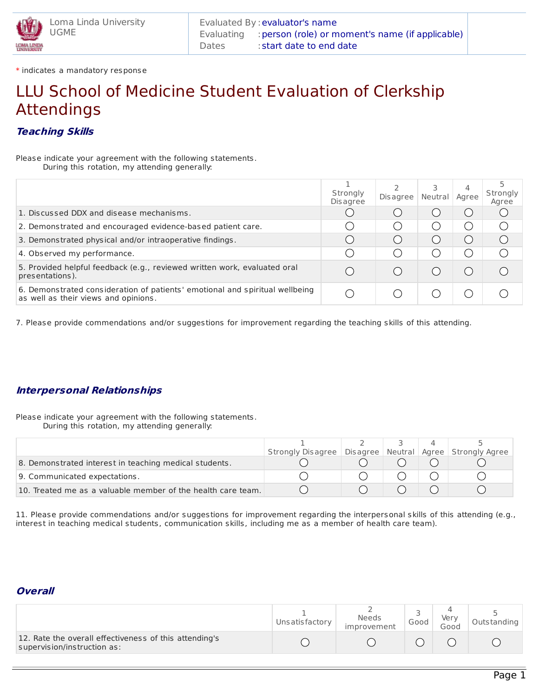\* indicates a mandatory response

# LLU School of Medicine Student Evaluation of Clerkship Attendings

## **Teaching Skills**

Please indicate your agreement with the following statements. During this rotation, my attending generally:

|                                                                                                                      | Strongly<br><b>Disagree</b> | Disagree               | 3<br>Neutral | 4<br>Agree | Strongly<br>Agree |
|----------------------------------------------------------------------------------------------------------------------|-----------------------------|------------------------|--------------|------------|-------------------|
| 1. Discussed DDX and disease mechanisms.                                                                             |                             |                        |              |            |                   |
| 2. Demonstrated and encouraged evidence-based patient care.                                                          |                             | $(\quad)$              |              |            |                   |
| 3. Demonstrated physical and/or intraoperative findings.                                                             |                             |                        |              |            |                   |
| 4. Observed my performance.                                                                                          |                             | $\left( \quad \right)$ |              |            |                   |
| 5. Provided helpful feedback (e.g., reviewed written work, evaluated oral<br>presentations).                         |                             |                        |              |            |                   |
| 6. Demonstrated consideration of patients' emotional and spiritual wellbeing<br>as well as their views and opinions. |                             |                        |              |            |                   |

7. Please provide commendations and/or suggestions for improvement regarding the teaching skills of this attending.

### **Interpersonal Relationships**

Please indicate your agreement with the following statements.

During this rotation, my attending generally:

|                                                              | Strongly Disagree   Disagree   Neutral   Agree   Strongly Agree |  |  |
|--------------------------------------------------------------|-----------------------------------------------------------------|--|--|
| 8. Demonstrated interest in teaching medical students.       |                                                                 |  |  |
| 9. Communicated expectations.                                |                                                                 |  |  |
| 10. Treated me as a valuable member of the health care team. |                                                                 |  |  |

11. Please provide commendations and/or suggestions for improvement regarding the interpersonal skills of this attending (e.g., interest in teaching medical students, communication skills, including me as a member of health care team).

#### **Overall**

|                                                                                       | Uns atis factor v | <b>Needs</b><br>improvement | Good | Verv<br>Good | Outs tanding |
|---------------------------------------------------------------------------------------|-------------------|-----------------------------|------|--------------|--------------|
| 12. Rate the overall effectiveness of this attending's<br>supervision/instruction as: |                   |                             |      |              |              |